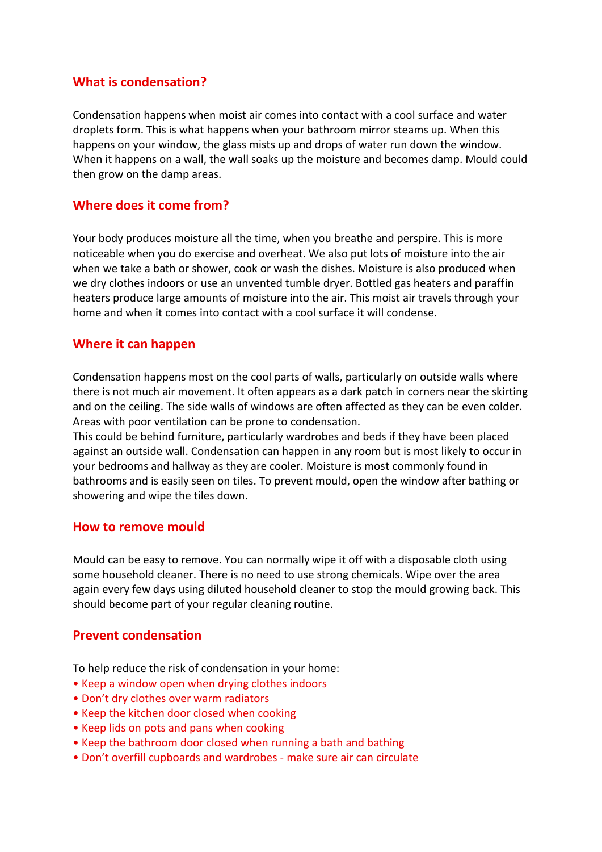# **What is condensation?**

Condensation happens when moist air comes into contact with a cool surface and water droplets form. This is what happens when your bathroom mirror steams up. When this happens on your window, the glass mists up and drops of water run down the window. When it happens on a wall, the wall soaks up the moisture and becomes damp. Mould could then grow on the damp areas.

# **Where does it come from?**

Your body produces moisture all the time, when you breathe and perspire. This is more noticeable when you do exercise and overheat. We also put lots of moisture into the air when we take a bath or shower, cook or wash the dishes. Moisture is also produced when we dry clothes indoors or use an unvented tumble dryer. Bottled gas heaters and paraffin heaters produce large amounts of moisture into the air. This moist air travels through your home and when it comes into contact with a cool surface it will condense.

### **Where it can happen**

Condensation happens most on the cool parts of walls, particularly on outside walls where there is not much air movement. It often appears as a dark patch in corners near the skirting and on the ceiling. The side walls of windows are often affected as they can be even colder. Areas with poor ventilation can be prone to condensation.

This could be behind furniture, particularly wardrobes and beds if they have been placed against an outside wall. Condensation can happen in any room but is most likely to occur in your bedrooms and hallway as they are cooler. Moisture is most commonly found in bathrooms and is easily seen on tiles. To prevent mould, open the window after bathing or showering and wipe the tiles down.

### **How to remove mould**

Mould can be easy to remove. You can normally wipe it off with a disposable cloth using some household cleaner. There is no need to use strong chemicals. Wipe over the area again every few days using diluted household cleaner to stop the mould growing back. This should become part of your regular cleaning routine.

### **Prevent condensation**

To help reduce the risk of condensation in your home:

- Keep a window open when drying clothes indoors
- Don't dry clothes over warm radiators
- Keep the kitchen door closed when cooking
- Keep lids on pots and pans when cooking
- Keep the bathroom door closed when running a bath and bathing
- Don't overfill cupboards and wardrobes make sure air can circulate